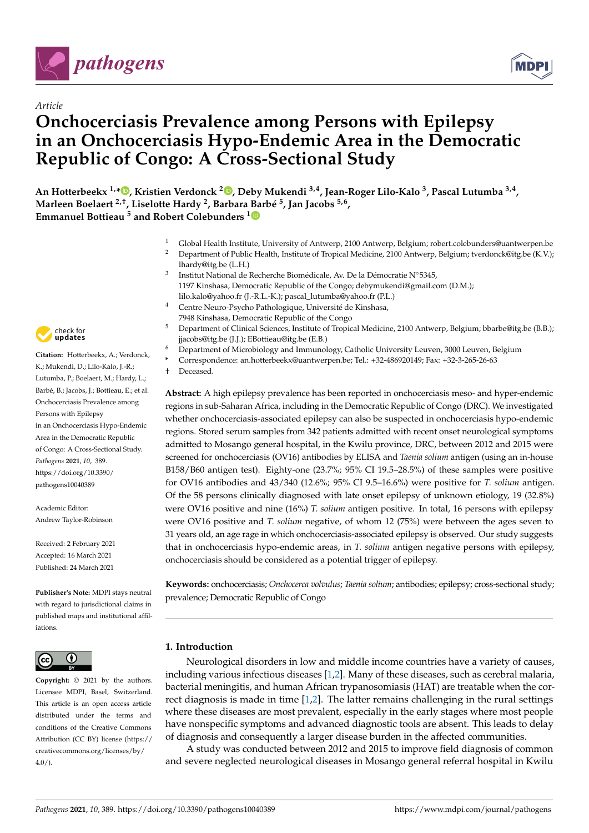



# *Article* **Onchocerciasis Prevalence among Persons with Epilepsy in an Onchocerciasis Hypo-Endemic Area in the Democratic Republic of Congo: A Cross-Sectional Study**

**An Hotterbeekx 1,[\\*](https://orcid.org/0000-0003-3356-4032) , Kristien Verdonck <sup>2</sup> [,](https://orcid.org/0000-0003-1153-4078) Deby Mukendi 3,4, Jean-Roger Lilo-Kalo <sup>3</sup> , Pascal Lutumba 3,4 , Marleen Boelaert 2,†, Liselotte Hardy <sup>2</sup> , Barbara [Ba](https://orcid.org/0000-0002-1919-1340)rbé 5 , Jan Jacobs 5,6 , Emmanuel Bottieau <sup>5</sup> and Robert Colebunders <sup>1</sup>**

- <sup>1</sup> Global Health Institute, University of Antwerp, 2100 Antwerp, Belgium; robert.colebunders@uantwerpen.be
- <sup>2</sup> Department of Public Health, Institute of Tropical Medicine, 2100 Antwerp, Belgium; tverdonck@itg.be (K.V.); lhardy@itg.be (L.H.)
- 3 Institut National de Recherche Biomédicale, Av. De la Démocratie N◦5345, 1197 Kinshasa, Democratic Republic of the Congo; debymukendi@gmail.com (D.M.); lilo.kalo@yahoo.fr (J.-R.L.-K.); pascal\_lutumba@yahoo.fr (P.L.)
- Centre Neuro-Psycho Pathologique, Université de Kinshasa,
- 7948 Kinshasa, Democratic Republic of the Congo
- <sup>5</sup> Department of Clinical Sciences, Institute of Tropical Medicine, 2100 Antwerp, Belgium; bbarbe@itg.be (B.B.); jjacobs@itg.be (J.J.); EBottieau@itg.be (E.B.)
- <sup>6</sup> Department of Microbiology and Immunology, Catholic University Leuven, 3000 Leuven, Belgium
- **\*** Correspondence: an.hotterbeekx@uantwerpen.be; Tel.: +32-486920149; Fax: +32-3-265-26-63
- † Deceased.

**Abstract:** A high epilepsy prevalence has been reported in onchocerciasis meso- and hyper-endemic regions in sub-Saharan Africa, including in the Democratic Republic of Congo (DRC). We investigated whether onchocerciasis-associated epilepsy can also be suspected in onchocerciasis hypo-endemic regions. Stored serum samples from 342 patients admitted with recent onset neurological symptoms admitted to Mosango general hospital, in the Kwilu province, DRC, between 2012 and 2015 were screened for onchocerciasis (OV16) antibodies by ELISA and *Taenia solium* antigen (using an in-house B158/B60 antigen test). Eighty-one (23.7%; 95% CI 19.5–28.5%) of these samples were positive for OV16 antibodies and 43/340 (12.6%; 95% CI 9.5–16.6%) were positive for *T. solium* antigen. Of the 58 persons clinically diagnosed with late onset epilepsy of unknown etiology, 19 (32.8%) were OV16 positive and nine (16%) *T. solium* antigen positive. In total, 16 persons with epilepsy were OV16 positive and *T. solium* negative, of whom 12 (75%) were between the ages seven to 31 years old, an age rage in which onchocerciasis-associated epilepsy is observed. Our study suggests that in onchocerciasis hypo-endemic areas, in *T. solium* antigen negative persons with epilepsy, onchocerciasis should be considered as a potential trigger of epilepsy.

**Keywords:** onchocerciasis; *Onchocerca volvulus*; *Taenia solium*; antibodies; epilepsy; cross-sectional study; prevalence; Democratic Republic of Congo

# **1. Introduction**

Neurological disorders in low and middle income countries have a variety of causes, including various infectious diseases [\[1](#page-6-0)[,2\]](#page-6-1). Many of these diseases, such as cerebral malaria, bacterial meningitis, and human African trypanosomiasis (HAT) are treatable when the correct diagnosis is made in time [\[1](#page-6-0)[,2\]](#page-6-1). The latter remains challenging in the rural settings where these diseases are most prevalent, especially in the early stages where most people have nonspecific symptoms and advanced diagnostic tools are absent. This leads to delay of diagnosis and consequently a larger disease burden in the affected communities.

A study was conducted between 2012 and 2015 to improve field diagnosis of common and severe neglected neurological diseases in Mosango general referral hospital in Kwilu



**Citation:** Hotterbeekx, A.; Verdonck, K.; Mukendi, D.; Lilo-Kalo, J.-R.; Lutumba, P.; Boelaert, M.; Hardy, L.; Barbé, B.; Jacobs, J.; Bottieau, E.; et al. Onchocerciasis Prevalence among Persons with Epilepsy in an Onchocerciasis Hypo-Endemic Area in the Democratic Republic of Congo: A Cross-Sectional Study. *Pathogens* **2021**, *10*, 389. [https://doi.org/10.3390/](https://doi.org/10.3390/pathogens10040389) [pathogens10040389](https://doi.org/10.3390/pathogens10040389)

Academic Editor: Andrew Taylor-Robinson

Received: 2 February 2021 Accepted: 16 March 2021 Published: 24 March 2021

**Publisher's Note:** MDPI stays neutral with regard to jurisdictional claims in published maps and institutional affiliations.



**Copyright:** © 2021 by the authors. Licensee MDPI, Basel, Switzerland. This article is an open access article distributed under the terms and conditions of the Creative Commons Attribution (CC BY) license (https:/[/](https://creativecommons.org/licenses/by/4.0/) [creativecommons.org/licenses/by/](https://creativecommons.org/licenses/by/4.0/)  $4.0/$ ).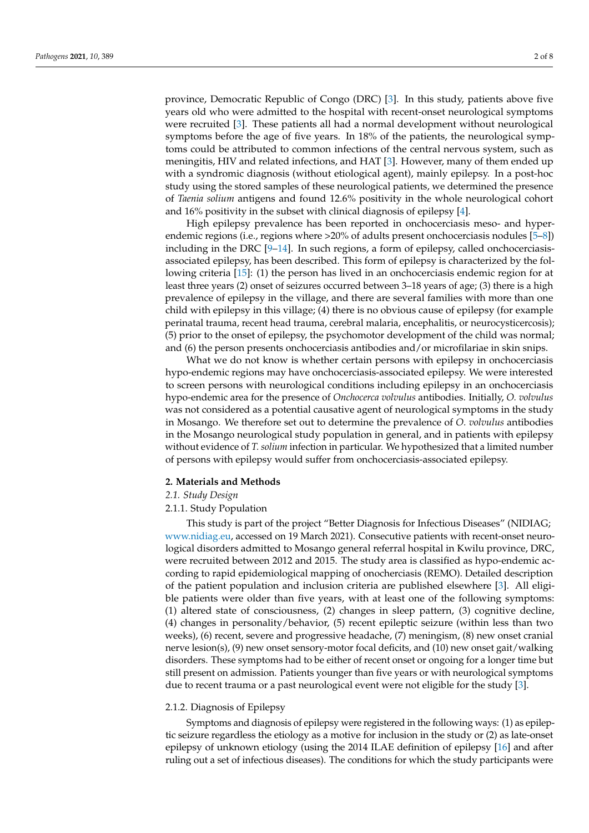province, Democratic Republic of Congo (DRC) [\[3\]](#page-6-2). In this study, patients above five years old who were admitted to the hospital with recent-onset neurological symptoms were recruited [\[3\]](#page-6-2). These patients all had a normal development without neurological symptoms before the age of five years. In 18% of the patients, the neurological symptoms could be attributed to common infections of the central nervous system, such as meningitis, HIV and related infections, and HAT [\[3\]](#page-6-2). However, many of them ended up with a syndromic diagnosis (without etiological agent), mainly epilepsy. In a post-hoc study using the stored samples of these neurological patients, we determined the presence of *Taenia solium* antigens and found 12.6% positivity in the whole neurological cohort and 16% positivity in the subset with clinical diagnosis of epilepsy [\[4\]](#page-6-3).

High epilepsy prevalence has been reported in onchocerciasis meso- and hyperendemic regions (i.e., regions where >20% of adults present onchocerciasis nodules [\[5–](#page-6-4)[8\]](#page-6-5)) including in the DRC [\[9–](#page-6-6)[14\]](#page-7-0). In such regions, a form of epilepsy, called onchocerciasisassociated epilepsy, has been described. This form of epilepsy is characterized by the following criteria [\[15\]](#page-7-1): (1) the person has lived in an onchocerciasis endemic region for at least three years (2) onset of seizures occurred between 3–18 years of age; (3) there is a high prevalence of epilepsy in the village, and there are several families with more than one child with epilepsy in this village; (4) there is no obvious cause of epilepsy (for example perinatal trauma, recent head trauma, cerebral malaria, encephalitis, or neurocysticercosis); (5) prior to the onset of epilepsy, the psychomotor development of the child was normal; and (6) the person presents onchocerciasis antibodies and/or microfilariae in skin snips.

What we do not know is whether certain persons with epilepsy in onchocerciasis hypo-endemic regions may have onchocerciasis-associated epilepsy. We were interested to screen persons with neurological conditions including epilepsy in an onchocerciasis hypo-endemic area for the presence of *Onchocerca volvulus* antibodies. Initially, *O. volvulus* was not considered as a potential causative agent of neurological symptoms in the study in Mosango. We therefore set out to determine the prevalence of *O. volvulus* antibodies in the Mosango neurological study population in general, and in patients with epilepsy without evidence of *T. solium* infection in particular. We hypothesized that a limited number of persons with epilepsy would suffer from onchocerciasis-associated epilepsy.

#### **2. Materials and Methods**

### *2.1. Study Design*

#### 2.1.1. Study Population

This study is part of the project "Better Diagnosis for Infectious Diseases" (NIDIAG; [www.nidiag.eu,](www.nidiag.eu) accessed on 19 March 2021). Consecutive patients with recent-onset neurological disorders admitted to Mosango general referral hospital in Kwilu province, DRC, were recruited between 2012 and 2015. The study area is classified as hypo-endemic according to rapid epidemiological mapping of onocherciasis (REMO). Detailed description of the patient population and inclusion criteria are published elsewhere [\[3\]](#page-6-2). All eligible patients were older than five years, with at least one of the following symptoms: (1) altered state of consciousness, (2) changes in sleep pattern, (3) cognitive decline, (4) changes in personality/behavior, (5) recent epileptic seizure (within less than two weeks), (6) recent, severe and progressive headache, (7) meningism, (8) new onset cranial nerve lesion(s), (9) new onset sensory-motor focal deficits, and (10) new onset gait/walking disorders. These symptoms had to be either of recent onset or ongoing for a longer time but still present on admission. Patients younger than five years or with neurological symptoms due to recent trauma or a past neurological event were not eligible for the study [\[3\]](#page-6-2).

# 2.1.2. Diagnosis of Epilepsy

Symptoms and diagnosis of epilepsy were registered in the following ways: (1) as epileptic seizure regardless the etiology as a motive for inclusion in the study or (2) as late-onset epilepsy of unknown etiology (using the 2014 ILAE definition of epilepsy [\[16\]](#page-7-2) and after ruling out a set of infectious diseases). The conditions for which the study participants were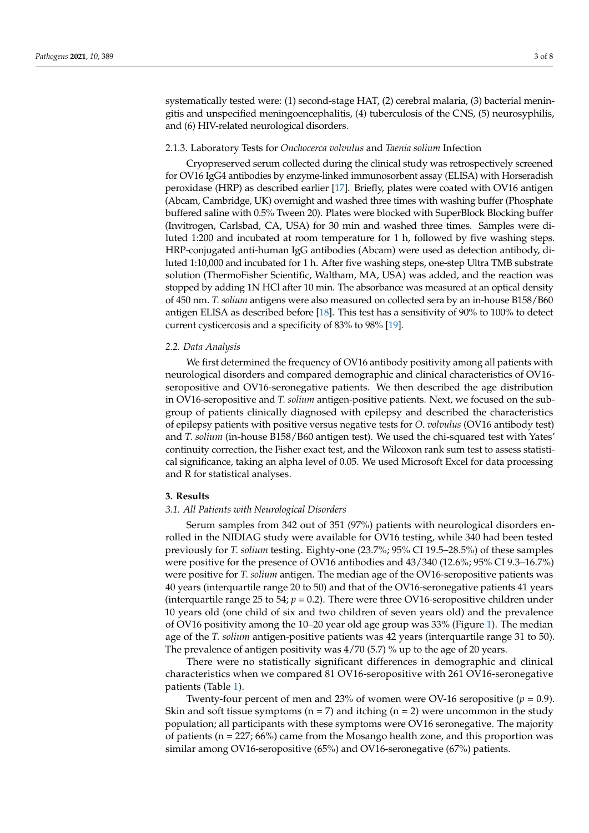systematically tested were: (1) second-stage HAT, (2) cerebral malaria, (3) bacterial meningitis and unspecified meningoencephalitis, (4) tuberculosis of the CNS, (5) neurosyphilis, and (6) HIV-related neurological disorders.

#### 2.1.3. Laboratory Tests for *Onchocerca volvulus* and *Taenia solium* Infection

Cryopreserved serum collected during the clinical study was retrospectively screened for OV16 IgG4 antibodies by enzyme-linked immunosorbent assay (ELISA) with Horseradish peroxidase (HRP) as described earlier [\[17\]](#page-7-3). Briefly, plates were coated with OV16 antigen (Abcam, Cambridge, UK) overnight and washed three times with washing buffer (Phosphate buffered saline with 0.5% Tween 20). Plates were blocked with SuperBlock Blocking buffer (Invitrogen, Carlsbad, CA, USA) for 30 min and washed three times. Samples were diluted 1:200 and incubated at room temperature for 1 h, followed by five washing steps. HRP-conjugated anti-human IgG antibodies (Abcam) were used as detection antibody, diluted 1:10,000 and incubated for 1 h. After five washing steps, one-step Ultra TMB substrate solution (ThermoFisher Scientific, Waltham, MA, USA) was added, and the reaction was stopped by adding 1N HCl after 10 min. The absorbance was measured at an optical density of 450 nm. *T. solium* antigens were also measured on collected sera by an in-house B158/B60 antigen ELISA as described before [\[18\]](#page-7-4). This test has a sensitivity of 90% to 100% to detect current cysticercosis and a specificity of 83% to 98% [\[19\]](#page-7-5).

#### *2.2. Data Analysis*

We first determined the frequency of OV16 antibody positivity among all patients with neurological disorders and compared demographic and clinical characteristics of OV16 seropositive and OV16-seronegative patients. We then described the age distribution in OV16-seropositive and *T. solium* antigen-positive patients. Next, we focused on the subgroup of patients clinically diagnosed with epilepsy and described the characteristics of epilepsy patients with positive versus negative tests for *O. volvulus* (OV16 antibody test) and *T. solium* (in-house B158/B60 antigen test). We used the chi-squared test with Yates' continuity correction, the Fisher exact test, and the Wilcoxon rank sum test to assess statistical significance, taking an alpha level of 0.05. We used Microsoft Excel for data processing and R for statistical analyses.

# **3. Results**

#### *3.1. All Patients with Neurological Disorders*

Serum samples from 342 out of 351 (97%) patients with neurological disorders enrolled in the NIDIAG study were available for OV16 testing, while 340 had been tested previously for *T. solium* testing. Eighty-one (23.7%; 95% CI 19.5–28.5%) of these samples were positive for the presence of OV16 antibodies and 43/340 (12.6%; 95% CI 9.3–16.7%) were positive for *T. solium* antigen. The median age of the OV16-seropositive patients was 40 years (interquartile range 20 to 50) and that of the OV16-seronegative patients 41 years (interquartile range 25 to 54;  $p = 0.2$ ). There were three OV16-seropositive children under 10 years old (one child of six and two children of seven years old) and the prevalence of OV16 positivity among the 10–20 year old age group was 33% (Figure [1\)](#page-3-0). The median age of the *T. solium* antigen-positive patients was 42 years (interquartile range 31 to 50). The prevalence of antigen positivity was 4/70 (5.7) % up to the age of 20 years.

There were no statistically significant differences in demographic and clinical characteristics when we compared 81 OV16-seropositive with 261 OV16-seronegative patients (Table [1\)](#page-3-1).

Twenty-four percent of men and 23% of women were OV-16 seropositive  $(p = 0.9)$ . Skin and soft tissue symptoms ( $n = 7$ ) and itching ( $n = 2$ ) were uncommon in the study population; all participants with these symptoms were OV16 seronegative. The majority of patients ( $n = 227$ ; 66%) came from the Mosango health zone, and this proportion was similar among OV16-seropositive (65%) and OV16-seronegative (67%) patients.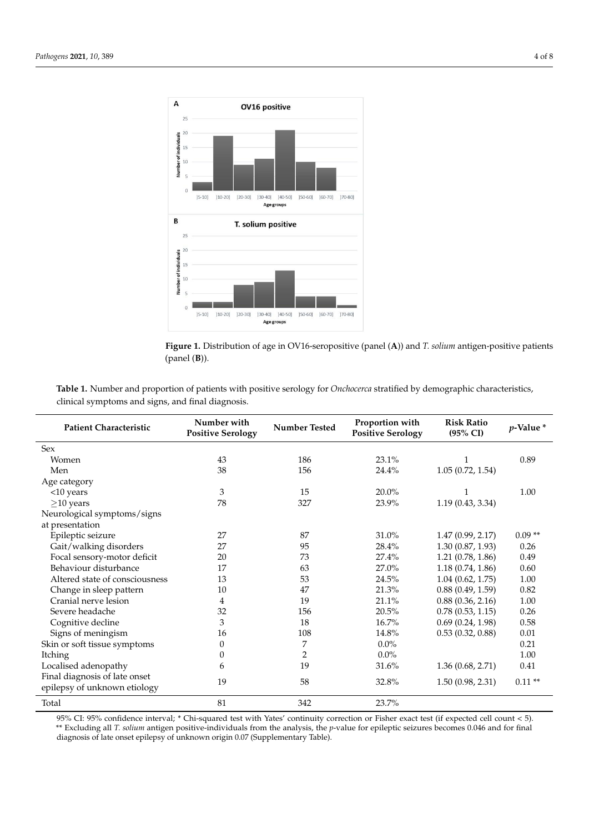<span id="page-3-0"></span>



<span id="page-3-1"></span>Table 1. Number and proportion of patients with positive serology for *Onchocerca* stratified by demographic characteristics, clinical symptoms and signs, and final diagnosis.

| <b>Patient Characteristic</b>  | Number with<br><b>Positive Serology</b> | Number Tested    | Proportion with<br><b>Positive Serology</b> | <b>Risk Ratio</b><br>(95% CI) | $p$ -Value $*$ |
|--------------------------------|-----------------------------------------|------------------|---------------------------------------------|-------------------------------|----------------|
| Sex                            |                                         |                  |                                             |                               |                |
| Women                          | 43                                      | 186              | 23.1%                                       |                               | 0.89           |
| Men                            | 38                                      | 156              | 24.4%                                       | 1.05(0.72, 1.54)              |                |
| Age category                   |                                         |                  |                                             |                               |                |
| <10 years                      | $\mathfrak{Z}$                          | 15               | 20.0%                                       |                               | 1.00           |
| $\geq$ 10 years                | 78                                      | 327              | 23.9%                                       | 1.19(0.43, 3.34)              |                |
| Neurological symptoms/signs    |                                         |                  |                                             |                               |                |
| at presentation                |                                         |                  |                                             |                               |                |
| Epileptic seizure              | 27                                      | 87               | 31.0%                                       | 1.47(0.99, 2.17)              | $0.09**$       |
| Gait/walking disorders         | 27                                      | 95               | 28.4%                                       | 1.30(0.87, 1.93)              | 0.26           |
| Focal sensory-motor deficit    | 20                                      | 73               | 27.4%                                       | 1.21(0.78, 1.86)              | 0.49           |
| Behaviour disturbance          | 17                                      | 63               | 27.0%                                       | 1.18(0.74, 1.86)              | 0.60           |
| Altered state of consciousness | 13                                      | 53               | 24.5%                                       | 1.04(0.62, 1.75)              | 1.00           |
| Change in sleep pattern        | 10                                      | 47               | 21.3%                                       | 0.88(0.49, 1.59)              | 0.82           |
| Cranial nerve lesion           | 4                                       | 19               | 21.1%                                       | 0.88(0.36, 2.16)              | 1.00           |
| Severe headache                | 32                                      | 156              | 20.5%                                       | 0.78(0.53, 1.15)              | 0.26           |
| Cognitive decline              | 3                                       | 18               | 16.7%                                       | 0.69(0.24, 1.98)              | 0.58           |
| Signs of meningism             | 16                                      | 108              | 14.8%                                       | 0.53(0.32, 0.88)              | $0.01\,$       |
| Skin or soft tissue symptoms   | $\boldsymbol{0}$                        | $\boldsymbol{7}$ | $0.0\%$                                     |                               | 0.21           |
| Itching                        | 0                                       | $\overline{2}$   | $0.0\%$                                     |                               | 1.00           |
| Localised adenopathy           | 6                                       | 19               | 31.6%                                       | 1.36(0.68, 2.71)              | 0.41           |
| Final diagnosis of late onset  |                                         |                  |                                             |                               |                |
| epilepsy of unknown etiology   | 19                                      | 58               | 32.8%                                       | 1.50(0.98, 2.31)              | $0.11**$       |
| Total                          | 81                                      | 342              | 23.7%                                       |                               |                |

95% CI: 95% confidence interval; \* Chi-squared test with Yates' continuity correction or Fisher exact test (if expected cell count < 5). \*\* Excluding all *T. solium* antigen positive-individuals from the analysis, the *p*-value for epileptic seizures becomes 0.046 and for final<br>discressie of late onest orilancy of unknown origin 0.07 (Sunnlamentary Table) diagnosis of late onset epilepsy of unknown origin 0.07 (Supplementary Table).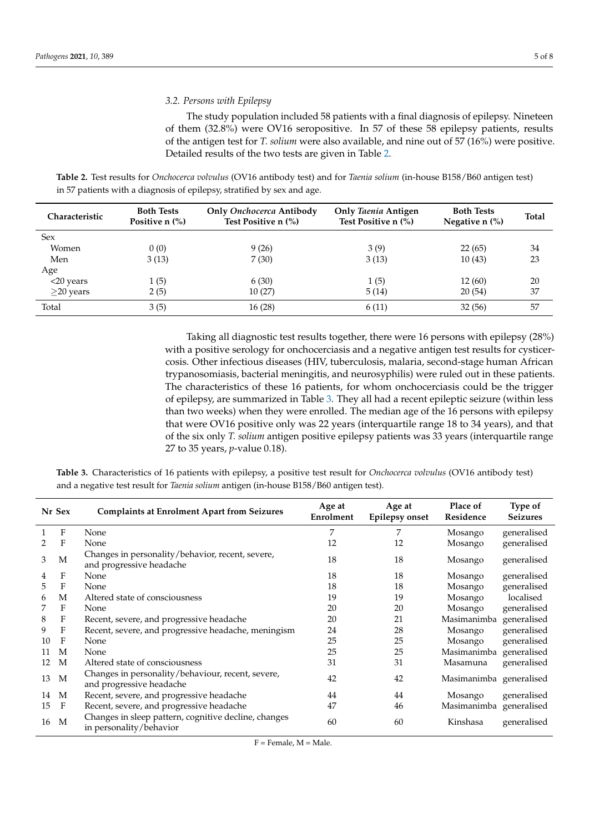# *3.2. Persons with Epilepsy*

The study population included 58 patients with a final diagnosis of epilepsy. Nineteen of them (32.8%) were OV16 seropositive. In 57 of these 58 epilepsy patients, results of the antigen test for *T. solium* were also available, and nine out of 57 (16%) were positive. Detailed results of the two tests are given in Table [2.](#page-4-0)

<span id="page-4-0"></span>**Table 2.** Test results for *Onchocerca volvulus* (OV16 antibody test) and for *Taenia solium* (in-house B158/B60 antigen test) in 57 patients with a diagnosis of epilepsy, stratified by sex and age.

| <b>Characteristic</b> | <b>Both Tests</b><br>Positive $n$ $\frac{6}{6}$ | Only Onchocerca Antibody<br>Test Positive n (%) | <b>Only Taenia Antigen</b><br>Test Positive n (%) | <b>Both Tests</b><br>Negative $n$ $\%$ ) | <b>Total</b> |
|-----------------------|-------------------------------------------------|-------------------------------------------------|---------------------------------------------------|------------------------------------------|--------------|
| <b>Sex</b>            |                                                 |                                                 |                                                   |                                          |              |
| Women                 | 0(0)                                            | 9(26)                                           | 3(9)                                              | 22(65)                                   | 34           |
| Men                   | 3(13)                                           | 7(30)                                           | 3(13)                                             | 10(43)                                   | 23           |
| Age                   |                                                 |                                                 |                                                   |                                          |              |
| $<$ 20 years          | 1(5)                                            | 6(30)                                           | 1(5)                                              | 12(60)                                   | 20           |
| $\geq$ 20 years       | 2(5)                                            | 10(27)                                          | 5(14)                                             | 20(54)                                   | 37           |
| Total                 | 3(5)                                            | 16(28)                                          | 6(11)                                             | 32(56)                                   | 57           |

Taking all diagnostic test results together, there were 16 persons with epilepsy (28%) with a positive serology for onchocerciasis and a negative antigen test results for cysticercosis. Other infectious diseases (HIV, tuberculosis, malaria, second-stage human African trypanosomiasis, bacterial meningitis, and neurosyphilis) were ruled out in these patients. The characteristics of these 16 patients, for whom onchocerciasis could be the trigger of epilepsy, are summarized in Table [3.](#page-4-1) They all had a recent epileptic seizure (within less than two weeks) when they were enrolled. The median age of the 16 persons with epilepsy that were OV16 positive only was 22 years (interquartile range 18 to 34 years), and that of the six only *T. solium* antigen positive epilepsy patients was 33 years (interquartile range 27 to 35 years, *p*-value 0.18).

<span id="page-4-1"></span>**Table 3.** Characteristics of 16 patients with epilepsy, a positive test result for *Onchocerca volvulus* (OV16 antibody test) and a negative test result for *Taenia solium* antigen (in-house B158/B60 antigen test).

|    | Nr Sex | <b>Complaints at Enrolment Apart from Seizures</b>                              | Age at<br>Enrolment | Age at<br><b>Epilepsy onset</b> | Place of<br>Residence   | <b>Type of</b><br><b>Seizures</b> |
|----|--------|---------------------------------------------------------------------------------|---------------------|---------------------------------|-------------------------|-----------------------------------|
|    | F      | None                                                                            | 7                   | 7                               | Mosango                 | generalised                       |
| 2  | F      | None                                                                            | 12                  | 12                              | Mosango                 | generalised                       |
| 3  | М      | Changes in personality/behavior, recent, severe,<br>and progressive headache    | 18                  | 18                              | Mosango                 | generalised                       |
| 4  | F      | None                                                                            | 18                  | 18                              | Mosango                 | generalised                       |
| 5  | F      | None                                                                            | 18                  | 18                              | Mosango                 | generalised                       |
| 6  | М      | Altered state of consciousness                                                  | 19                  | 19                              | Mosango                 | localised                         |
|    | F      | None                                                                            | 20                  | 20                              | Mosango                 | generalised                       |
| 8  | F      | Recent, severe, and progressive headache                                        | 20                  | 21                              | Masimanimba             | generalised                       |
| 9  | F      | Recent, severe, and progressive headache, meningism                             | 24                  | 28                              | Mosango                 | generalised                       |
| 10 | F      | None                                                                            | 25                  | 25                              | Mosango                 | generalised                       |
| 11 | M      | None                                                                            | 25                  | 25                              | Masimanimba             | generalised                       |
| 12 | M      | Altered state of consciousness                                                  | 31                  | 31                              | Masamuna                | generalised                       |
| 13 | M      | Changes in personality/behaviour, recent, severe,<br>and progressive headache   | 42                  | 42                              | Masimanimba generalised |                                   |
| 14 | M      | Recent, severe, and progressive headache                                        | 44                  | 44                              | Mosango                 | generalised                       |
| 15 | F      | Recent, severe, and progressive headache                                        | 47                  | 46                              | Masimanimba generalised |                                   |
| 16 | M      | Changes in sleep pattern, cognitive decline, changes<br>in personality/behavior | 60                  | 60                              | Kinshasa                | generalised                       |

 $F =$  Female,  $M =$  Male.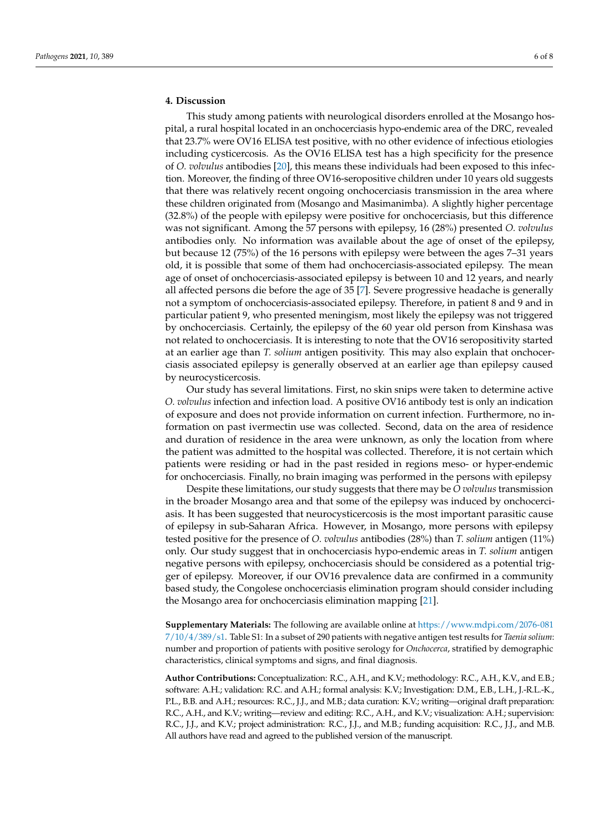# **4. Discussion**

This study among patients with neurological disorders enrolled at the Mosango hospital, a rural hospital located in an onchocerciasis hypo-endemic area of the DRC, revealed that 23.7% were OV16 ELISA test positive, with no other evidence of infectious etiologies including cysticercosis. As the OV16 ELISA test has a high specificity for the presence of *O. volvulus* antibodies [\[20\]](#page-7-6), this means these individuals had been exposed to this infection. Moreover, the finding of three OV16-seropositive children under 10 years old suggests that there was relatively recent ongoing onchocerciasis transmission in the area where these children originated from (Mosango and Masimanimba). A slightly higher percentage (32.8%) of the people with epilepsy were positive for onchocerciasis, but this difference was not significant. Among the 57 persons with epilepsy, 16 (28%) presented *O. volvulus* antibodies only. No information was available about the age of onset of the epilepsy, but because 12 (75%) of the 16 persons with epilepsy were between the ages 7–31 years old, it is possible that some of them had onchocerciasis-associated epilepsy. The mean age of onset of onchocerciasis-associated epilepsy is between 10 and 12 years, and nearly all affected persons die before the age of 35 [\[7\]](#page-6-7). Severe progressive headache is generally not a symptom of onchocerciasis-associated epilepsy. Therefore, in patient 8 and 9 and in particular patient 9, who presented meningism, most likely the epilepsy was not triggered by onchocerciasis. Certainly, the epilepsy of the 60 year old person from Kinshasa was not related to onchocerciasis. It is interesting to note that the OV16 seropositivity started at an earlier age than *T. solium* antigen positivity. This may also explain that onchocerciasis associated epilepsy is generally observed at an earlier age than epilepsy caused by neurocysticercosis.

Our study has several limitations. First, no skin snips were taken to determine active *O. volvulus* infection and infection load. A positive OV16 antibody test is only an indication of exposure and does not provide information on current infection. Furthermore, no information on past ivermectin use was collected. Second, data on the area of residence and duration of residence in the area were unknown, as only the location from where the patient was admitted to the hospital was collected. Therefore, it is not certain which patients were residing or had in the past resided in regions meso- or hyper-endemic for onchocerciasis. Finally, no brain imaging was performed in the persons with epilepsy

Despite these limitations, our study suggests that there may be *O volvulus* transmission in the broader Mosango area and that some of the epilepsy was induced by onchocerciasis. It has been suggested that neurocysticercosis is the most important parasitic cause of epilepsy in sub-Saharan Africa. However, in Mosango, more persons with epilepsy tested positive for the presence of *O. volvulus* antibodies (28%) than *T. solium* antigen (11%) only. Our study suggest that in onchocerciasis hypo-endemic areas in *T. solium* antigen negative persons with epilepsy, onchocerciasis should be considered as a potential trigger of epilepsy. Moreover, if our OV16 prevalence data are confirmed in a community based study, the Congolese onchocerciasis elimination program should consider including the Mosango area for onchocerciasis elimination mapping [\[21\]](#page-7-7).

**Supplementary Materials:** The following are available online at [https://www.mdpi.com/2076-081](https://www.mdpi.com/2076-0817/10/4/389/s1) [7/10/4/389/s1.](https://www.mdpi.com/2076-0817/10/4/389/s1) Table S1: In a subset of 290 patients with negative antigen test results for *Taenia solium*: number and proportion of patients with positive serology for *Onchocerca*, stratified by demographic characteristics, clinical symptoms and signs, and final diagnosis.

**Author Contributions:** Conceptualization: R.C., A.H., and K.V.; methodology: R.C., A.H., K.V., and E.B.; software: A.H.; validation: R.C. and A.H.; formal analysis: K.V.; Investigation: D.M., E.B., L.H., J.-R.L.-K., P.L., B.B. and A.H.; resources: R.C., J.J., and M.B.; data curation: K.V.; writing—original draft preparation: R.C., A.H., and K.V.; writing—review and editing: R.C., A.H., and K.V.; visualization: A.H.; supervision: R.C., J.J., and K.V.; project administration: R.C., J.J., and M.B.; funding acquisition: R.C., J.J., and M.B. All authors have read and agreed to the published version of the manuscript.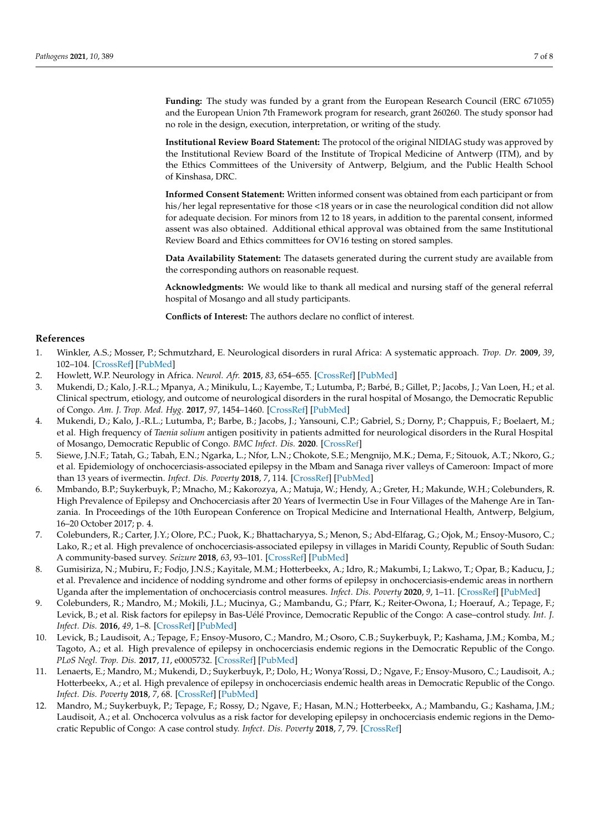**Funding:** The study was funded by a grant from the European Research Council (ERC 671055) and the European Union 7th Framework program for research, grant 260260. The study sponsor had no role in the design, execution, interpretation, or writing of the study.

**Institutional Review Board Statement:** The protocol of the original NIDIAG study was approved by the Institutional Review Board of the Institute of Tropical Medicine of Antwerp (ITM), and by the Ethics Committees of the University of Antwerp, Belgium, and the Public Health School of Kinshasa, DRC.

**Informed Consent Statement:** Written informed consent was obtained from each participant or from his/her legal representative for those <18 years or in case the neurological condition did not allow for adequate decision. For minors from 12 to 18 years, in addition to the parental consent, informed assent was also obtained. Additional ethical approval was obtained from the same Institutional Review Board and Ethics committees for OV16 testing on stored samples.

**Data Availability Statement:** The datasets generated during the current study are available from the corresponding authors on reasonable request.

**Acknowledgments:** We would like to thank all medical and nursing staff of the general referral hospital of Mosango and all study participants.

**Conflicts of Interest:** The authors declare no conflict of interest.

# **References**

- <span id="page-6-0"></span>1. Winkler, A.S.; Mosser, P.; Schmutzhard, E. Neurological disorders in rural Africa: A systematic approach. *Trop. Dr.* **2009**, *39*, 102–104. [\[CrossRef\]](http://doi.org/10.1258/td.2008.080144) [\[PubMed\]](http://www.ncbi.nlm.nih.gov/pubmed/19299296)
- <span id="page-6-1"></span>2. Howlett, W.P. Neurology in Africa. *Neurol. Afr.* **2015**, *83*, 654–655. [\[CrossRef\]](http://doi.org/10.1212/WNL.0000000000000682) [\[PubMed\]](http://www.ncbi.nlm.nih.gov/pubmed/25114197)
- <span id="page-6-2"></span>3. Mukendi, D.; Kalo, J.-R.L.; Mpanya, A.; Minikulu, L.; Kayembe, T.; Lutumba, P.; Barbé, B.; Gillet, P.; Jacobs, J.; Van Loen, H.; et al. Clinical spectrum, etiology, and outcome of neurological disorders in the rural hospital of Mosango, the Democratic Republic of Congo. *Am. J. Trop. Med. Hyg.* **2017**, *97*, 1454–1460. [\[CrossRef\]](http://doi.org/10.4269/ajtmh.17-0375) [\[PubMed\]](http://www.ncbi.nlm.nih.gov/pubmed/28820708)
- <span id="page-6-3"></span>4. Mukendi, D.; Kalo, J.-R.L.; Lutumba, P.; Barbe, B.; Jacobs, J.; Yansouni, C.P.; Gabriel, S.; Dorny, P.; Chappuis, F.; Boelaert, M.; et al. High frequency of *Taenia solium* antigen positivity in patients admitted for neurological disorders in the Rural Hospital of Mosango, Democratic Republic of Congo. *BMC Infect. Dis.* **2020**. [\[CrossRef\]](http://doi.org/10.21203/rs.2.20203/v1)
- <span id="page-6-4"></span>5. Siewe, J.N.F.; Tatah, G.; Tabah, E.N.; Ngarka, L.; Nfor, L.N.; Chokote, S.E.; Mengnijo, M.K.; Dema, F.; Sitouok, A.T.; Nkoro, G.; et al. Epidemiology of onchocerciasis-associated epilepsy in the Mbam and Sanaga river valleys of Cameroon: Impact of more than 13 years of ivermectin. *Infect. Dis. Poverty* **2018**, *7*, 114. [\[CrossRef\]](http://doi.org/10.1186/s40249-018-0497-1) [\[PubMed\]](http://www.ncbi.nlm.nih.gov/pubmed/30501640)
- 6. Mmbando, B.P.; Suykerbuyk, P.; Mnacho, M.; Kakorozya, A.; Matuja, W.; Hendy, A.; Greter, H.; Makunde, W.H.; Colebunders, R. High Prevalence of Epilepsy and Onchocerciasis after 20 Years of Ivermectin Use in Four Villages of the Mahenge Are in Tanzania. In Proceedings of the 10th European Conference on Tropical Medicine and International Health, Antwerp, Belgium, 16–20 October 2017; p. 4.
- <span id="page-6-7"></span>7. Colebunders, R.; Carter, J.Y.; Olore, P.C.; Puok, K.; Bhattacharyya, S.; Menon, S.; Abd-Elfarag, G.; Ojok, M.; Ensoy-Musoro, C.; Lako, R.; et al. High prevalence of onchocerciasis-associated epilepsy in villages in Maridi County, Republic of South Sudan: A community-based survey. *Seizure* **2018**, *63*, 93–101. [\[CrossRef\]](http://doi.org/10.1016/j.seizure.2018.11.004) [\[PubMed\]](http://www.ncbi.nlm.nih.gov/pubmed/30468964)
- <span id="page-6-5"></span>8. Gumisiriza, N.; Mubiru, F.; Fodjo, J.N.S.; Kayitale, M.M.; Hotterbeekx, A.; Idro, R.; Makumbi, I.; Lakwo, T.; Opar, B.; Kaducu, J.; et al. Prevalence and incidence of nodding syndrome and other forms of epilepsy in onchocerciasis-endemic areas in northern Uganda after the implementation of onchocerciasis control measures. *Infect. Dis. Poverty* **2020**, *9*, 1–11. [\[CrossRef\]](http://doi.org/10.1186/s40249-020-0628-3) [\[PubMed\]](http://www.ncbi.nlm.nih.gov/pubmed/32114979)
- <span id="page-6-6"></span>9. Colebunders, R.; Mandro, M.; Mokili, J.L.; Mucinya, G.; Mambandu, G.; Pfarr, K.; Reiter-Owona, I.; Hoerauf, A.; Tepage, F.; Levick, B.; et al. Risk factors for epilepsy in Bas-Uélé Province, Democratic Republic of the Congo: A case–control study. *Int. J. Infect. Dis.* **2016**, *49*, 1–8. [\[CrossRef\]](http://doi.org/10.1016/j.ijid.2016.05.018) [\[PubMed\]](http://www.ncbi.nlm.nih.gov/pubmed/27210267)
- 10. Levick, B.; Laudisoit, A.; Tepage, F.; Ensoy-Musoro, C.; Mandro, M.; Osoro, C.B.; Suykerbuyk, P.; Kashama, J.M.; Komba, M.; Tagoto, A.; et al. High prevalence of epilepsy in onchocerciasis endemic regions in the Democratic Republic of the Congo. *PLoS Negl. Trop. Dis.* **2017**, *11*, e0005732. [\[CrossRef\]](http://doi.org/10.1371/journal.pntd.0005732) [\[PubMed\]](http://www.ncbi.nlm.nih.gov/pubmed/28708828)
- 11. Lenaerts, E.; Mandro, M.; Mukendi, D.; Suykerbuyk, P.; Dolo, H.; Wonya'Rossi, D.; Ngave, F.; Ensoy-Musoro, C.; Laudisoit, A.; Hotterbeekx, A.; et al. High prevalence of epilepsy in onchocerciasis endemic health areas in Democratic Republic of the Congo. *Infect. Dis. Poverty* **2018**, *7*, 68. [\[CrossRef\]](http://doi.org/10.1186/s40249-018-0452-1) [\[PubMed\]](http://www.ncbi.nlm.nih.gov/pubmed/30064504)
- 12. Mandro, M.; Suykerbuyk, P.; Tepage, F.; Rossy, D.; Ngave, F.; Hasan, M.N.; Hotterbeekx, A.; Mambandu, G.; Kashama, J.M.; Laudisoit, A.; et al. Onchocerca volvulus as a risk factor for developing epilepsy in onchocerciasis endemic regions in the Democratic Republic of Congo: A case control study. *Infect. Dis. Poverty* **2018**, *7*, 79. [\[CrossRef\]](http://doi.org/10.1186/s40249-018-0465-9)